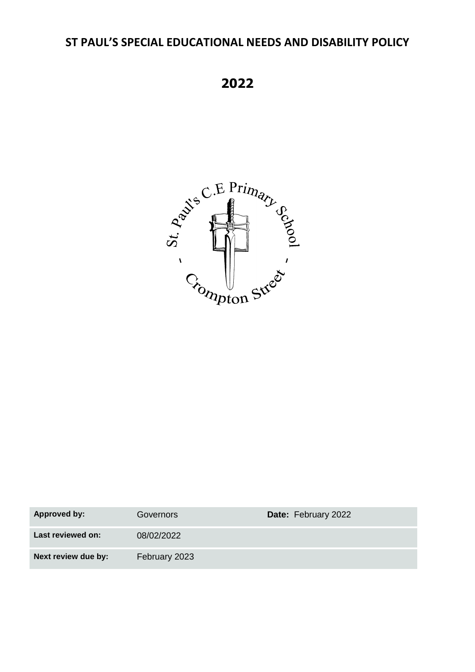# **ST PAUL'S SPECIAL EDUCATIONAL NEEDS AND DISABILITY POLICY**

**2022**



| Approved by:        | Governors     | Date: February 2022 |
|---------------------|---------------|---------------------|
| Last reviewed on:   | 08/02/2022    |                     |
| Next review due by: | February 2023 |                     |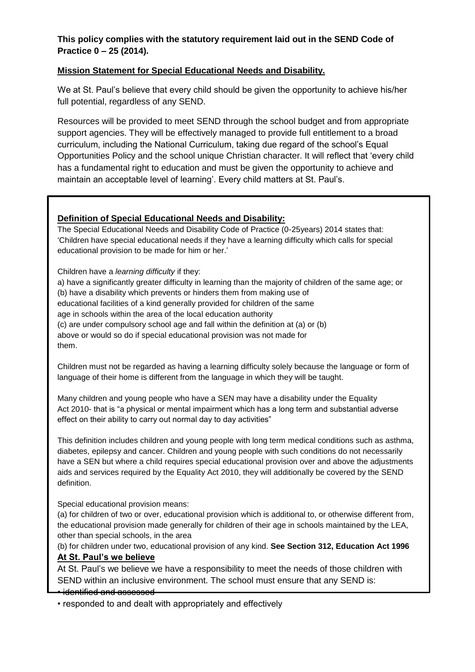# **This policy complies with the statutory requirement laid out in the SEND Code of Practice 0 – 25 (2014).**

## **Mission Statement for Special Educational Needs and Disability.**

We at St. Paul's believe that every child should be given the opportunity to achieve his/her full potential, regardless of any SEND.

Resources will be provided to meet SEND through the school budget and from appropriate support agencies. They will be effectively managed to provide full entitlement to a broad curriculum, including the National Curriculum, taking due regard of the school's Equal Opportunities Policy and the school unique Christian character. It will reflect that 'every child has a fundamental right to education and must be given the opportunity to achieve and maintain an acceptable level of learning'. Every child matters at St. Paul's.

## **Definition of Special Educational Needs and Disability:**

The Special Educational Needs and Disability Code of Practice (0-25years) 2014 states that: 'Children have special educational needs if they have a learning difficulty which calls for special educational provision to be made for him or her.'

Children have a *learning difficulty* if they:

a) have a significantly greater difficulty in learning than the majority of children of the same age; or (b) have a disability which prevents or hinders them from making use of educational facilities of a kind generally provided for children of the same age in schools within the area of the local education authority (c) are under compulsory school age and fall within the definition at (a) or (b) above or would so do if special educational provision was not made for them.

Children must not be regarded as having a learning difficulty solely because the language or form of language of their home is different from the language in which they will be taught.

Many children and young people who have a SEN may have a disability under the Equality Act 2010- that is "a physical or mental impairment which has a long term and substantial adverse effect on their ability to carry out normal day to day activities"

This definition includes children and young people with long term medical conditions such as asthma, diabetes, epilepsy and cancer. Children and young people with such conditions do not necessarily have a SEN but where a child requires special educational provision over and above the adjustments aids and services required by the Equality Act 2010, they will additionally be covered by the SEND definition.

Special educational provision means:

(a) for children of two or over, educational provision which is additional to, or otherwise different from, the educational provision made generally for children of their age in schools maintained by the LEA, other than special schools, in the area

(b) for children under two, educational provision of any kind. **See Section 312, Education Act 1996 At St. Paul's we believe**

At St. Paul's we believe we have a responsibility to meet the needs of those children with SEND within an inclusive environment. The school must ensure that any SEND is:

#### • identified and assessed

• responded to and dealt with appropriately and effectively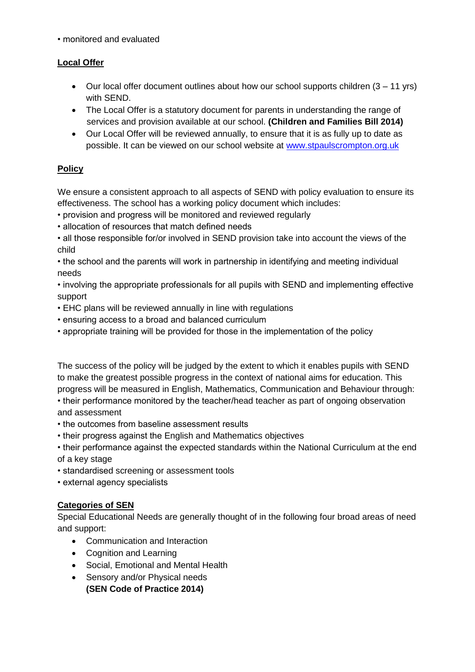• monitored and evaluated

# **Local Offer**

- Our local offer document outlines about how our school supports children (3 11 yrs) with SEND.
- The Local Offer is a statutory document for parents in understanding the range of services and provision available at our school. **(Children and Families Bill 2014)**
- Our Local Offer will be reviewed annually, to ensure that it is as fully up to date as possible. It can be viewed on our school website at [www.stpaulscrompton.org.uk](http://www.stpaulscrompton.org.uk/)

# **Policy**

We ensure a consistent approach to all aspects of SEND with policy evaluation to ensure its effectiveness. The school has a working policy document which includes:

- provision and progress will be monitored and reviewed regularly
- allocation of resources that match defined needs
- all those responsible for/or involved in SEND provision take into account the views of the child
- the school and the parents will work in partnership in identifying and meeting individual needs
- involving the appropriate professionals for all pupils with SEND and implementing effective support
- EHC plans will be reviewed annually in line with regulations
- ensuring access to a broad and balanced curriculum
- appropriate training will be provided for those in the implementation of the policy

The success of the policy will be judged by the extent to which it enables pupils with SEND to make the greatest possible progress in the context of national aims for education. This progress will be measured in English, Mathematics, Communication and Behaviour through:

• their performance monitored by the teacher/head teacher as part of ongoing observation and assessment

- the outcomes from baseline assessment results
- their progress against the English and Mathematics objectives
- their performance against the expected standards within the National Curriculum at the end of a key stage
- standardised screening or assessment tools
- external agency specialists

# **Categories of SEN**

Special Educational Needs are generally thought of in the following four broad areas of need and support:

- Communication and Interaction
- Cognition and Learning
- Social, Emotional and Mental Health
- Sensory and/or Physical needs **(SEN Code of Practice 2014)**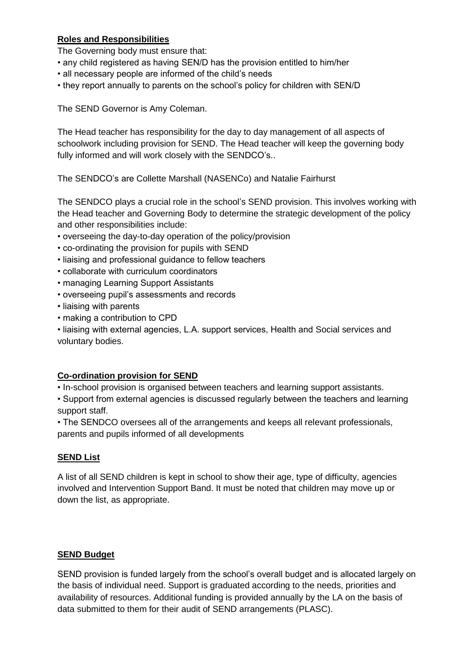# **Roles and Responsibilities**

The Governing body must ensure that:

- any child registered as having SEN/D has the provision entitled to him/her
- all necessary people are informed of the child's needs
- they report annually to parents on the school's policy for children with SEN/D

The SEND Governor is Amy Coleman.

The Head teacher has responsibility for the day to day management of all aspects of schoolwork including provision for SEND. The Head teacher will keep the governing body fully informed and will work closely with the SENDCO's..

The SENDCO's are Collette Marshall (NASENCo) and Natalie Fairhurst

The SENDCO plays a crucial role in the school's SEND provision. This involves working with the Head teacher and Governing Body to determine the strategic development of the policy and other responsibilities include:

- overseeing the day-to-day operation of the policy/provision
- co-ordinating the provision for pupils with SEND
- liaising and professional guidance to fellow teachers
- collaborate with curriculum coordinators
- managing Learning Support Assistants
- overseeing pupil's assessments and records
- liaising with parents
- making a contribution to CPD

• liaising with external agencies, L.A. support services, Health and Social services and voluntary bodies.

#### **Co-ordination provision for SEND**

• In-school provision is organised between teachers and learning support assistants.

• Support from external agencies is discussed regularly between the teachers and learning support staff.

• The SENDCO oversees all of the arrangements and keeps all relevant professionals, parents and pupils informed of all developments

#### **SEND List**

A list of all SEND children is kept in school to show their age, type of difficulty, agencies involved and Intervention Support Band. It must be noted that children may move up or down the list, as appropriate.

#### **SEND Budget**

SEND provision is funded largely from the school's overall budget and is allocated largely on the basis of individual need. Support is graduated according to the needs, priorities and availability of resources. Additional funding is provided annually by the LA on the basis of data submitted to them for their audit of SEND arrangements (PLASC).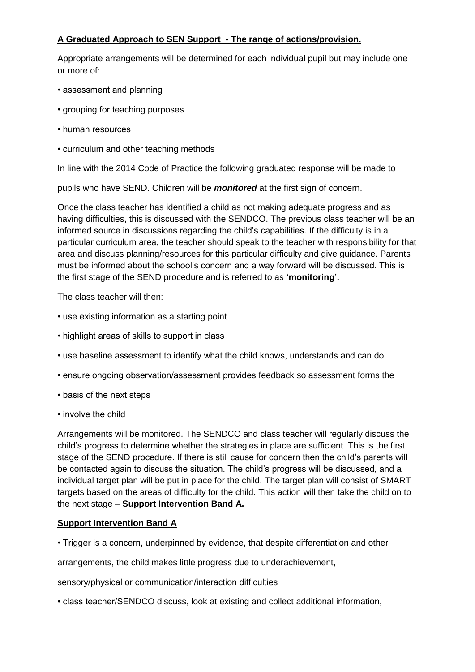# **A Graduated Approach to SEN Support - The range of actions/provision.**

Appropriate arrangements will be determined for each individual pupil but may include one or more of:

- assessment and planning
- grouping for teaching purposes
- human resources
- curriculum and other teaching methods

In line with the 2014 Code of Practice the following graduated response will be made to

pupils who have SEND. Children will be *monitored* at the first sign of concern.

Once the class teacher has identified a child as not making adequate progress and as having difficulties, this is discussed with the SENDCO. The previous class teacher will be an informed source in discussions regarding the child's capabilities. If the difficulty is in a particular curriculum area, the teacher should speak to the teacher with responsibility for that area and discuss planning/resources for this particular difficulty and give guidance. Parents must be informed about the school's concern and a way forward will be discussed. This is the first stage of the SEND procedure and is referred to as **'monitoring'.**

The class teacher will then:

- use existing information as a starting point
- highlight areas of skills to support in class
- use baseline assessment to identify what the child knows, understands and can do
- ensure ongoing observation/assessment provides feedback so assessment forms the
- basis of the next steps
- involve the child

Arrangements will be monitored. The SENDCO and class teacher will regularly discuss the child's progress to determine whether the strategies in place are sufficient. This is the first stage of the SEND procedure. If there is still cause for concern then the child's parents will be contacted again to discuss the situation. The child's progress will be discussed, and a individual target plan will be put in place for the child. The target plan will consist of SMART targets based on the areas of difficulty for the child. This action will then take the child on to the next stage – **Support Intervention Band A.** 

# **Support Intervention Band A**

• Trigger is a concern, underpinned by evidence, that despite differentiation and other

arrangements, the child makes little progress due to underachievement,

sensory/physical or communication/interaction difficulties

• class teacher/SENDCO discuss, look at existing and collect additional information,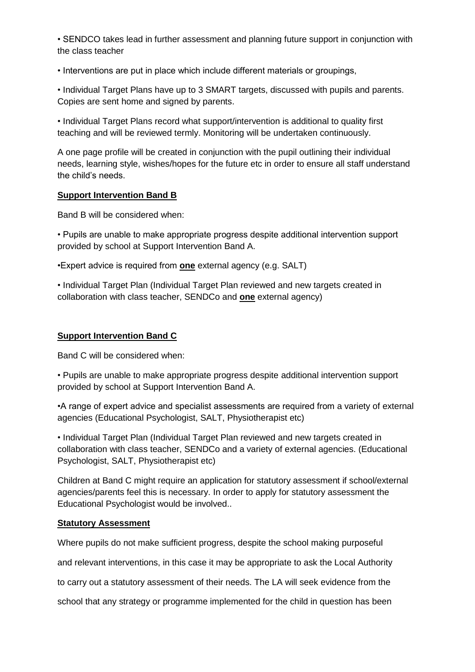• SENDCO takes lead in further assessment and planning future support in conjunction with the class teacher

• Interventions are put in place which include different materials or groupings,

• Individual Target Plans have up to 3 SMART targets, discussed with pupils and parents. Copies are sent home and signed by parents.

• Individual Target Plans record what support/intervention is additional to quality first teaching and will be reviewed termly. Monitoring will be undertaken continuously.

A one page profile will be created in conjunction with the pupil outlining their individual needs, learning style, wishes/hopes for the future etc in order to ensure all staff understand the child's needs.

#### **Support Intervention Band B**

Band B will be considered when:

• Pupils are unable to make appropriate progress despite additional intervention support provided by school at Support Intervention Band A.

•Expert advice is required from **one** external agency (e.g. SALT)

• Individual Target Plan (Individual Target Plan reviewed and new targets created in collaboration with class teacher, SENDCo and **one** external agency)

# **Support Intervention Band C**

Band C will be considered when:

• Pupils are unable to make appropriate progress despite additional intervention support provided by school at Support Intervention Band A.

•A range of expert advice and specialist assessments are required from a variety of external agencies (Educational Psychologist, SALT, Physiotherapist etc)

• Individual Target Plan (Individual Target Plan reviewed and new targets created in collaboration with class teacher, SENDCo and a variety of external agencies. (Educational Psychologist, SALT, Physiotherapist etc)

Children at Band C might require an application for statutory assessment if school/external agencies/parents feel this is necessary. In order to apply for statutory assessment the Educational Psychologist would be involved..

#### **Statutory Assessment**

Where pupils do not make sufficient progress, despite the school making purposeful

and relevant interventions, in this case it may be appropriate to ask the Local Authority

to carry out a statutory assessment of their needs. The LA will seek evidence from the

school that any strategy or programme implemented for the child in question has been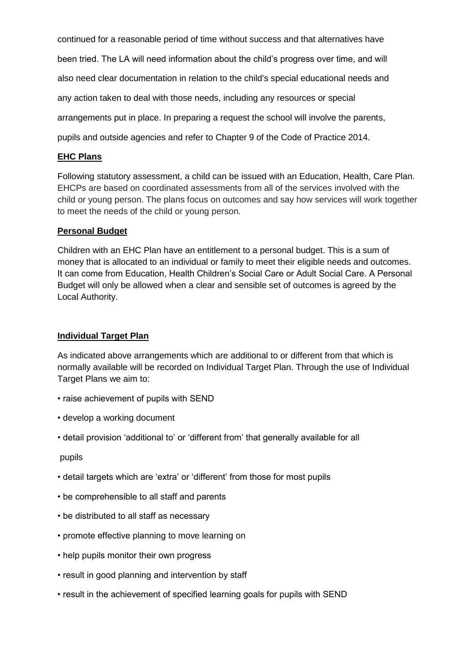continued for a reasonable period of time without success and that alternatives have been tried. The LA will need information about the child's progress over time, and will also need clear documentation in relation to the child's special educational needs and any action taken to deal with those needs, including any resources or special arrangements put in place. In preparing a request the school will involve the parents, pupils and outside agencies and refer to Chapter 9 of the Code of Practice 2014.

# **EHC Plans**

Following statutory assessment, a child can be issued with an Education, Health, Care Plan. EHCPs are based on coordinated assessments from all of the services involved with the child or young person. The plans focus on outcomes and say how services will work together to meet the needs of the child or young person.

# **Personal Budget**

Children with an EHC Plan have an entitlement to a personal budget. This is a sum of money that is allocated to an individual or family to meet their eligible needs and outcomes. It can come from Education, Health Children's Social Care or Adult Social Care. A Personal Budget will only be allowed when a clear and sensible set of outcomes is agreed by the Local Authority.

# **Individual Target Plan**

As indicated above arrangements which are additional to or different from that which is normally available will be recorded on Individual Target Plan. Through the use of Individual Target Plans we aim to:

- raise achievement of pupils with SEND
- develop a working document
- detail provision 'additional to' or 'different from' that generally available for all

#### pupils

- detail targets which are 'extra' or 'different' from those for most pupils
- be comprehensible to all staff and parents
- be distributed to all staff as necessary
- promote effective planning to move learning on
- help pupils monitor their own progress
- result in good planning and intervention by staff
- result in the achievement of specified learning goals for pupils with SEND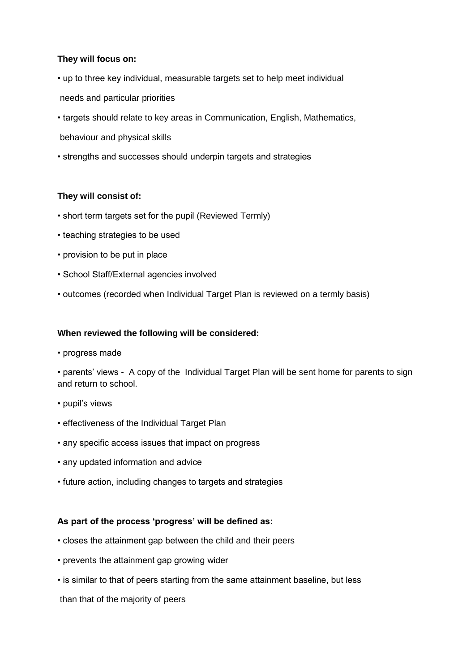## **They will focus on:**

- up to three key individual, measurable targets set to help meet individual
- needs and particular priorities
- targets should relate to key areas in Communication, English, Mathematics,
- behaviour and physical skills
- strengths and successes should underpin targets and strategies

## **They will consist of:**

- short term targets set for the pupil (Reviewed Termly)
- teaching strategies to be used
- provision to be put in place
- School Staff/External agencies involved
- outcomes (recorded when Individual Target Plan is reviewed on a termly basis)

#### **When reviewed the following will be considered:**

• progress made

• parents' views - A copy of the Individual Target Plan will be sent home for parents to sign and return to school.

- pupil's views
- effectiveness of the Individual Target Plan
- any specific access issues that impact on progress
- any updated information and advice
- future action, including changes to targets and strategies

#### **As part of the process 'progress' will be defined as:**

- closes the attainment gap between the child and their peers
- prevents the attainment gap growing wider
- is similar to that of peers starting from the same attainment baseline, but less

than that of the majority of peers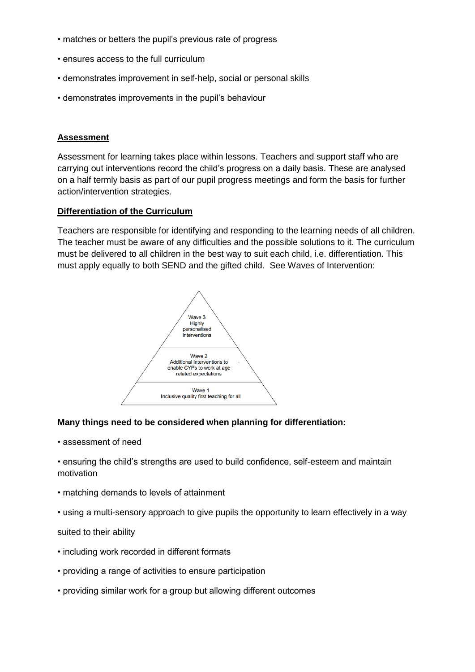- matches or betters the pupil's previous rate of progress
- ensures access to the full curriculum
- demonstrates improvement in self-help, social or personal skills
- demonstrates improvements in the pupil's behaviour

## **Assessment**

Assessment for learning takes place within lessons. Teachers and support staff who are carrying out interventions record the child's progress on a daily basis. These are analysed on a half termly basis as part of our pupil progress meetings and form the basis for further action/intervention strategies.

## **Differentiation of the Curriculum**

Teachers are responsible for identifying and responding to the learning needs of all children. The teacher must be aware of any difficulties and the possible solutions to it. The curriculum must be delivered to all children in the best way to suit each child, i.e. differentiation. This must apply equally to both SEND and the gifted child. See Waves of Intervention:



# **Many things need to be considered when planning for differentiation:**

• assessment of need

• ensuring the child's strengths are used to build confidence, self-esteem and maintain motivation

- matching demands to levels of attainment
- using a multi-sensory approach to give pupils the opportunity to learn effectively in a way

#### suited to their ability

- including work recorded in different formats
- providing a range of activities to ensure participation
- providing similar work for a group but allowing different outcomes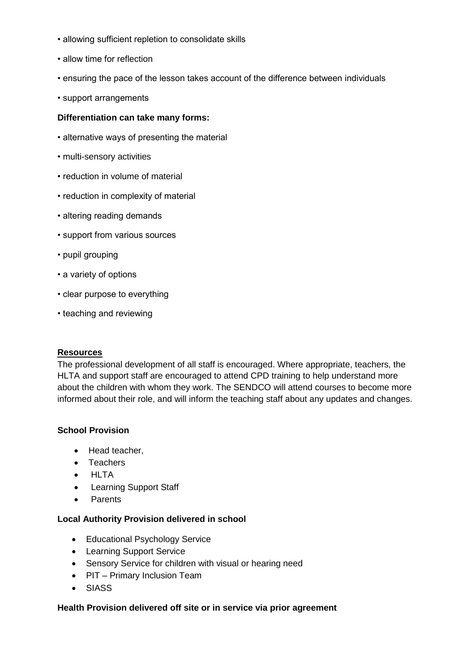- allowing sufficient repletion to consolidate skills
- allow time for reflection
- ensuring the pace of the lesson takes account of the difference between individuals
- support arrangements

#### **Differentiation can take many forms:**

- alternative ways of presenting the material
- multi-sensory activities
- reduction in volume of material
- reduction in complexity of material
- altering reading demands
- support from various sources
- pupil grouping
- a variety of options
- clear purpose to everything
- teaching and reviewing

#### **Resources**

The professional development of all staff is encouraged. Where appropriate, teachers, the HLTA and support staff are encouraged to attend CPD training to help understand more about the children with whom they work. The SENDCO will attend courses to become more informed about their role, and will inform the teaching staff about any updates and changes.

#### **School Provision**

- Head teacher,
- Teachers
- HLTA
- Learning Support Staff
- **Parents**

#### **Local Authority Provision delivered in school**

- Educational Psychology Service
- Learning Support Service
- Sensory Service for children with visual or hearing need
- PIT Primary Inclusion Team
- SIASS

#### **Health Provision delivered off site or in service via prior agreement**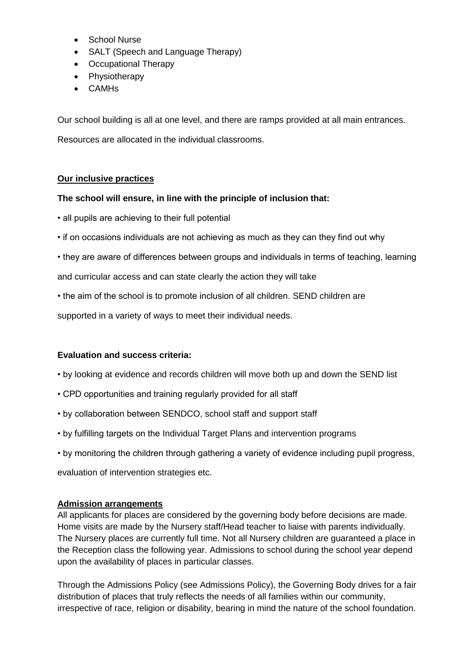- School Nurse
- SALT (Speech and Language Therapy)
- Occupational Therapy
- Physiotherapy
- CAMHs

Our school building is all at one level, and there are ramps provided at all main entrances.

Resources are allocated in the individual classrooms.

## **Our inclusive practices**

#### **The school will ensure, in line with the principle of inclusion that:**

• all pupils are achieving to their full potential

- if on occasions individuals are not achieving as much as they can they find out why
- they are aware of differences between groups and individuals in terms of teaching, learning

and curricular access and can state clearly the action they will take

• the aim of the school is to promote inclusion of all children. SEND children are

supported in a variety of ways to meet their individual needs.

#### **Evaluation and success criteria:**

- by looking at evidence and records children will move both up and down the SEND list
- CPD opportunities and training regularly provided for all staff
- by collaboration between SENDCO, school staff and support staff
- by fulfilling targets on the Individual Target Plans and intervention programs
- by monitoring the children through gathering a variety of evidence including pupil progress,

evaluation of intervention strategies etc.

#### **Admission arrangements**

All applicants for places are considered by the governing body before decisions are made. Home visits are made by the Nursery staff/Head teacher to liaise with parents individually. The Nursery places are currently full time. Not all Nursery children are guaranteed a place in the Reception class the following year. Admissions to school during the school year depend upon the availability of places in particular classes.

Through the Admissions Policy (see Admissions Policy), the Governing Body drives for a fair distribution of places that truly reflects the needs of all families within our community, irrespective of race, religion or disability, bearing in mind the nature of the school foundation.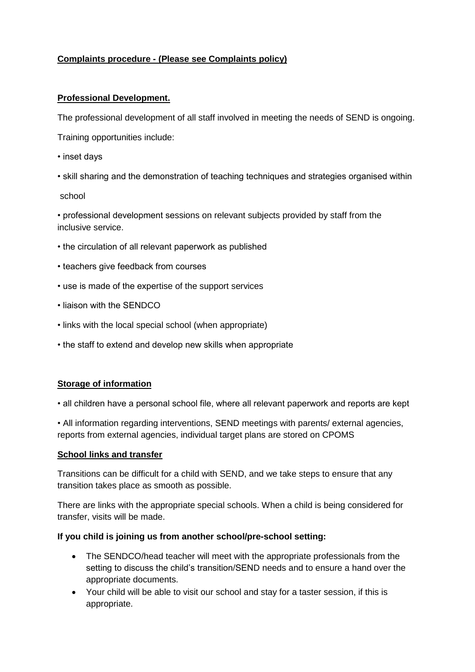# **Complaints procedure - (Please see Complaints policy)**

## **Professional Development.**

The professional development of all staff involved in meeting the needs of SEND is ongoing.

Training opportunities include:

- inset days
- skill sharing and the demonstration of teaching techniques and strategies organised within

#### school

• professional development sessions on relevant subjects provided by staff from the inclusive service.

- the circulation of all relevant paperwork as published
- teachers give feedback from courses
- use is made of the expertise of the support services
- liaison with the SENDCO
- links with the local special school (when appropriate)
- the staff to extend and develop new skills when appropriate

#### **Storage of information**

• all children have a personal school file, where all relevant paperwork and reports are kept

• All information regarding interventions, SEND meetings with parents/ external agencies, reports from external agencies, individual target plans are stored on CPOMS

#### **School links and transfer**

Transitions can be difficult for a child with SEND, and we take steps to ensure that any transition takes place as smooth as possible.

There are links with the appropriate special schools. When a child is being considered for transfer, visits will be made.

#### **If you child is joining us from another school/pre-school setting:**

- The SENDCO/head teacher will meet with the appropriate professionals from the setting to discuss the child's transition/SEND needs and to ensure a hand over the appropriate documents.
- Your child will be able to visit our school and stay for a taster session, if this is appropriate.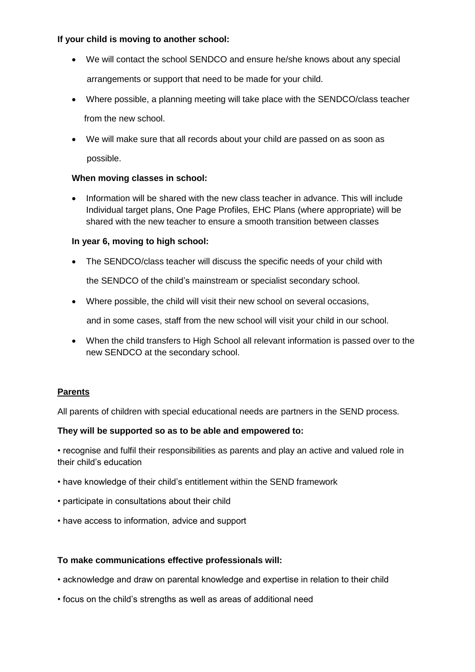# **If your child is moving to another school:**

- We will contact the school SENDCO and ensure he/she knows about any special arrangements or support that need to be made for your child.
- Where possible, a planning meeting will take place with the SENDCO/class teacher from the new school.
- We will make sure that all records about your child are passed on as soon as possible.

## **When moving classes in school:**

• Information will be shared with the new class teacher in advance. This will include Individual target plans, One Page Profiles, EHC Plans (where appropriate) will be shared with the new teacher to ensure a smooth transition between classes

## **In year 6, moving to high school:**

• The SENDCO/class teacher will discuss the specific needs of your child with

the SENDCO of the child's mainstream or specialist secondary school.

• Where possible, the child will visit their new school on several occasions,

and in some cases, staff from the new school will visit your child in our school.

• When the child transfers to High School all relevant information is passed over to the new SENDCO at the secondary school.

#### **Parents**

All parents of children with special educational needs are partners in the SEND process.

#### **They will be supported so as to be able and empowered to:**

• recognise and fulfil their responsibilities as parents and play an active and valued role in their child's education

- have knowledge of their child's entitlement within the SEND framework
- participate in consultations about their child
- have access to information, advice and support

#### **To make communications effective professionals will:**

- acknowledge and draw on parental knowledge and expertise in relation to their child
- focus on the child's strengths as well as areas of additional need